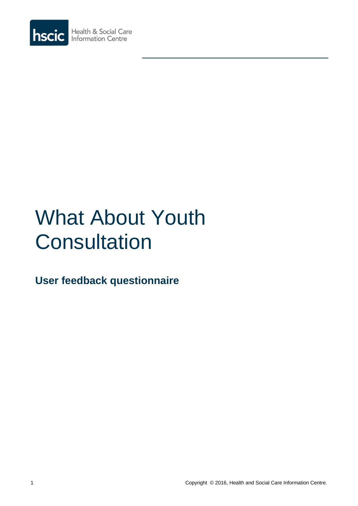

# What About Youth **Consultation**

**User feedback questionnaire**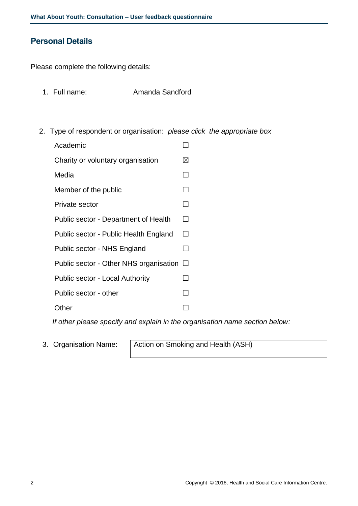## **Personal Details**

Please complete the following details:

1. Full name: **Amanda Sandford** 

2. Type of respondent or organisation: *please click the appropriate box*

| Academic                               |                   |
|----------------------------------------|-------------------|
| Charity or voluntary organisation      | ⊠                 |
| Media                                  |                   |
| Member of the public                   |                   |
| Private sector                         |                   |
| Public sector - Department of Health   | $\vert \ \ \vert$ |
| Public sector - Public Health England  | $\vert \ \ \vert$ |
| Public sector - NHS England            |                   |
| Public sector - Other NHS organisation | $\Box$            |
| <b>Public sector - Local Authority</b> |                   |
| Public sector - other                  |                   |
| Other                                  |                   |

*If other please specify and explain in the organisation name section below:*

3. Organisation Name: Action on Smoking and Health (ASH)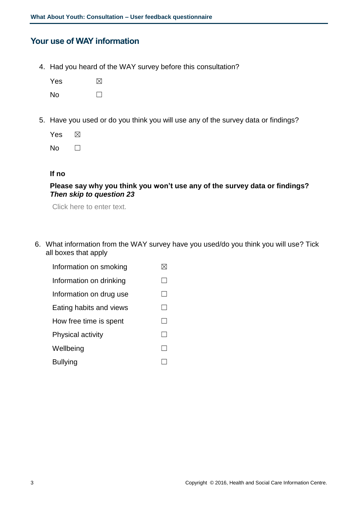## **Your use of WAY information**

4. Had you heard of the WAY survey before this consultation?

| Yes | $\boxtimes$ |
|-----|-------------|
| No  |             |

5. Have you used or do you think you will use any of the survey data or findings?

| Yes | M            |
|-----|--------------|
| No  | $\mathsf{I}$ |

#### **If no**

#### **Please say why you think you won't use any of the survey data or findings?** *Then skip to question 23*

Click here to enter text.

- 6. What information from the WAY survey have you used/do you think you will use? Tick all boxes that apply
	- Information on smoking  $\boxtimes$ Information on drinking  $□$ Information on drug use  $□$ Eating habits and views  $\Box$ How free time is spent  $\Box$ Physical activity **□** Wellbeing  $\Box$ Bullying □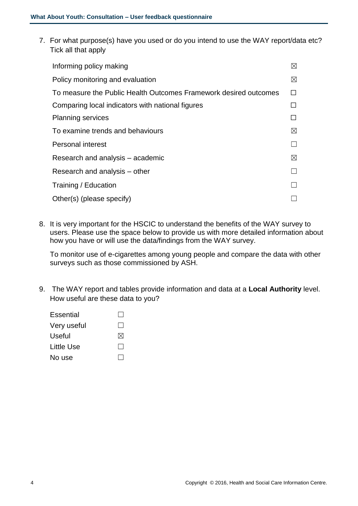7. For what purpose(s) have you used or do you intend to use the WAY report/data etc? Tick all that apply

| Informing policy making                                          | ⊠           |
|------------------------------------------------------------------|-------------|
| Policy monitoring and evaluation                                 | ⊠           |
| To measure the Public Health Outcomes Framework desired outcomes |             |
| Comparing local indicators with national figures                 |             |
| <b>Planning services</b>                                         |             |
| To examine trends and behaviours                                 | $\boxtimes$ |
| <b>Personal interest</b>                                         |             |
| Research and analysis – academic                                 | $\boxtimes$ |
| Research and analysis – other                                    |             |
| Training / Education                                             |             |
| Other(s) (please specify)                                        |             |
|                                                                  |             |

8. It is very important for the HSCIC to understand the benefits of the WAY survey to users. Please use the space below to provide us with more detailed information about how you have or will use the data/findings from the WAY survey.

To monitor use of e-cigarettes among young people and compare the data with other surveys such as those commissioned by ASH.

- 9. The WAY report and tables provide information and data at a **Local Authority** level. How useful are these data to you?
	- Essential □ Very useful  $\Box$ Useful  $\boxtimes$ Little Use  $\Box$ No use  $\Box$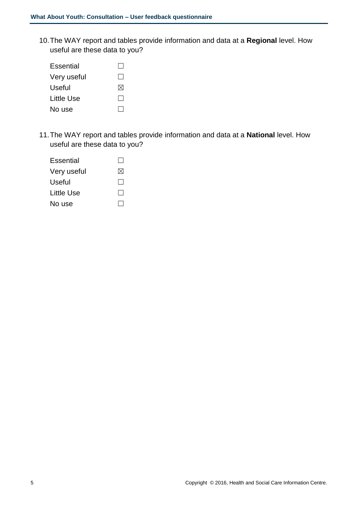10.The WAY report and tables provide information and data at a **Regional** level. How useful are these data to you?

| Essential   |              |
|-------------|--------------|
| Very useful | $\mathsf{I}$ |
| Useful      | M            |
| Little Use  |              |
| No use      |              |

11.The WAY report and tables provide information and data at a **National** level. How useful are these data to you?

| Essential   |              |
|-------------|--------------|
| Very useful | M            |
| Useful      | $\mathbf{1}$ |
| Little Use  |              |
| No use      |              |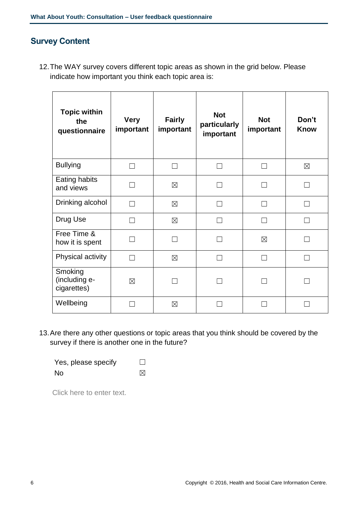# **Survey Content**

12.The WAY survey covers different topic areas as shown in the grid below. Please indicate how important you think each topic area is:

| <b>Topic within</b><br>the<br>questionnaire | <b>Very</b><br>important | <b>Fairly</b><br>important | <b>Not</b><br>particularly<br>important | <b>Not</b><br>important | Don't<br><b>Know</b> |
|---------------------------------------------|--------------------------|----------------------------|-----------------------------------------|-------------------------|----------------------|
| <b>Bullying</b>                             |                          |                            |                                         |                         | $\boxtimes$          |
| Eating habits<br>and views                  |                          | $\boxtimes$                |                                         |                         |                      |
| Drinking alcohol                            | ┓                        | $\boxtimes$                |                                         |                         |                      |
| Drug Use                                    |                          | $\boxtimes$                |                                         |                         |                      |
| Free Time &<br>how it is spent              |                          |                            |                                         | $\boxtimes$             |                      |
| Physical activity                           |                          | $\boxtimes$                |                                         |                         |                      |
| Smoking<br>(including e-<br>cigarettes)     | $\boxtimes$              |                            |                                         |                         |                      |
| Wellbeing                                   |                          | ⊠                          |                                         |                         |                      |

13.Are there any other questions or topic areas that you think should be covered by the survey if there is another one in the future?

| Yes, please specify | ⊔ |
|---------------------|---|
| <b>No</b>           | ⊠ |

Click here to enter text.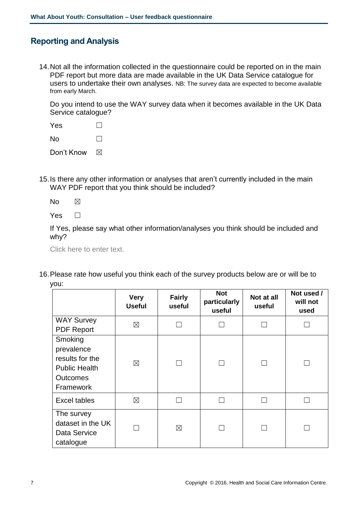# **Reporting and Analysis**

14.Not all the information collected in the questionnaire could be reported on in the main PDF report but more data are made available in the UK Data Service catalogue for users to undertake their own analyses. NB: The survey data are expected to become available from early March.

Do you intend to use the WAY survey data when it becomes available in the UK Data Service catalogue?

| Yes        |              |
|------------|--------------|
| N٥         | $\mathbf{I}$ |
| Don't Know |              |

- 15.Is there any other information or analyses that aren't currently included in the main WAY PDF report that you think should be included?
	- $No$   $\boxtimes$

 $Yes \Box$ 

If Yes, please say what other information/analyses you think should be included and why?

Click here to enter text.

16.Please rate how useful you think each of the survey products below are or will be to you:

|                                                                                                         | <b>Very</b><br><b>Useful</b> | <b>Fairly</b><br>useful | <b>Not</b><br>particularly<br>useful | Not at all<br>useful | Not used /<br>will not<br>used |
|---------------------------------------------------------------------------------------------------------|------------------------------|-------------------------|--------------------------------------|----------------------|--------------------------------|
| <b>WAY Survey</b><br><b>PDF Report</b>                                                                  | $\boxtimes$                  |                         |                                      |                      |                                |
| Smoking<br>prevalence<br>results for the<br><b>Public Health</b><br><b>Outcomes</b><br><b>Framework</b> | $\boxtimes$                  |                         |                                      |                      |                                |
| <b>Excel tables</b>                                                                                     | $\boxtimes$                  |                         |                                      |                      |                                |
| The survey<br>dataset in the UK<br>Data Service<br>catalogue                                            |                              | $\boxtimes$             |                                      |                      |                                |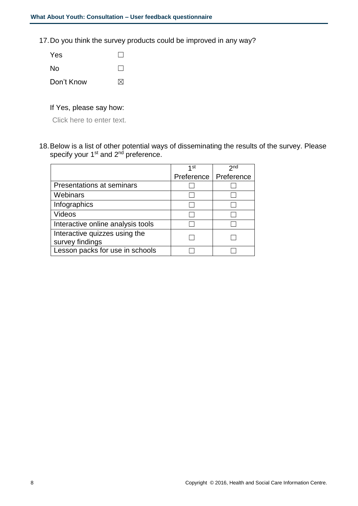17.Do you think the survey products could be improved in any way?

| <b>Yes</b> |              |
|------------|--------------|
| No.        | $\mathbf{1}$ |
| Don't Know | ⊠            |

#### If Yes, please say how:

Click here to enter text.

18.Below is a list of other potential ways of disseminating the results of the survey. Please specify your 1<sup>st</sup> and 2<sup>nd</sup> preference.

|                                   | 1st        | 2 <sub>nd</sub> |
|-----------------------------------|------------|-----------------|
|                                   | Preference | Preference      |
| Presentations at seminars         |            |                 |
| Webinars                          |            |                 |
| Infographics                      |            |                 |
| Videos                            |            |                 |
| Interactive online analysis tools |            |                 |
| Interactive quizzes using the     |            |                 |
| survey findings                   |            |                 |
| Lesson packs for use in schools   |            |                 |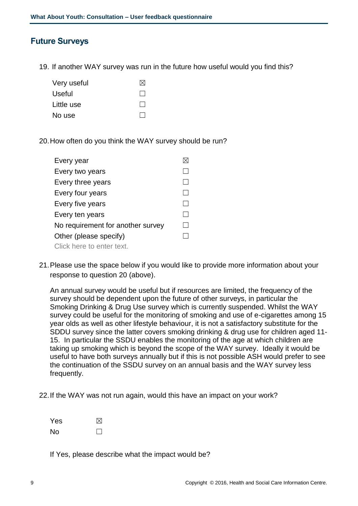## **Future Surveys**

19. If another WAY survey was run in the future how useful would you find this?

| Very useful | M            |
|-------------|--------------|
| Useful      | $\mathbf{I}$ |
| Little use  | $\mathsf{L}$ |
| No use      |              |

20.How often do you think the WAY survey should be run?

| Every year                        |  |
|-----------------------------------|--|
| Every two years                   |  |
| Every three years                 |  |
| Every four years                  |  |
| Every five years                  |  |
| Every ten years                   |  |
| No requirement for another survey |  |
| Other (please specify)            |  |
| Click here to enter text.         |  |

21.Please use the space below if you would like to provide more information about your response to question 20 (above).

An annual survey would be useful but if resources are limited, the frequency of the survey should be dependent upon the future of other surveys, in particular the Smoking Drinking & Drug Use survey which is currently suspended. Whilst the WAY survey could be useful for the monitoring of smoking and use of e-cigarettes among 15 year olds as well as other lifestyle behaviour, it is not a satisfactory substitute for the SDDU survey since the latter covers smoking drinking & drug use for children aged 11- 15. In particular the SSDU enables the monitoring of the age at which children are taking up smoking which is beyond the scope of the WAY survey. Ideally it would be useful to have both surveys annually but if this is not possible ASH would prefer to see the continuation of the SSDU survey on an annual basis and the WAY survey less frequently.

22.If the WAY was not run again, would this have an impact on your work?

| Yes | $\boxtimes$ |
|-----|-------------|
| No  | $\Box$      |

If Yes, please describe what the impact would be?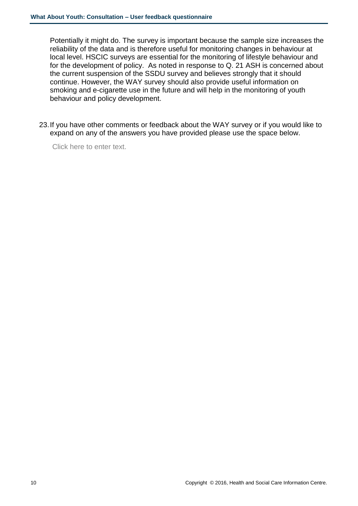Potentially it might do. The survey is important because the sample size increases the reliability of the data and is therefore useful for monitoring changes in behaviour at local level. HSCIC surveys are essential for the monitoring of lifestyle behaviour and for the development of policy. As noted in response to Q. 21 ASH is concerned about the current suspension of the SSDU survey and believes strongly that it should continue. However, the WAY survey should also provide useful information on smoking and e-cigarette use in the future and will help in the monitoring of youth behaviour and policy development.

23.If you have other comments or feedback about the WAY survey or if you would like to expand on any of the answers you have provided please use the space below.

Click here to enter text.